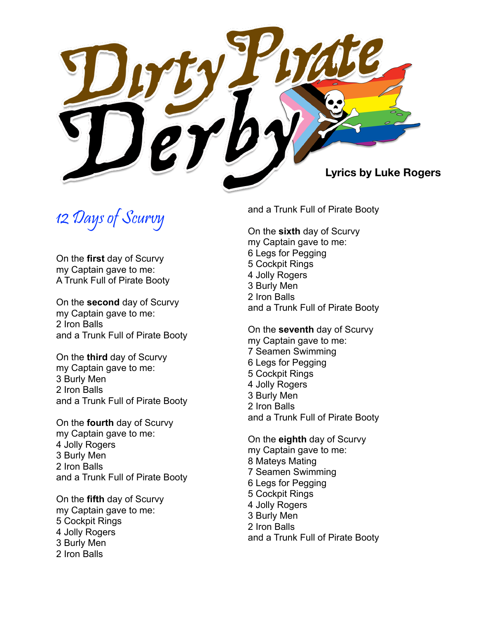

12 Days of Scurvy

On the **first** day of Scurvy my Captain gave to me: A Trunk Full of Pirate Booty

On the **second** day of Scurvy my Captain gave to me: 2 Iron Balls and a Trunk Full of Pirate Booty

On the **third** day of Scurvy my Captain gave to me: 3 Burly Men 2 Iron Balls and a Trunk Full of Pirate Booty

On the **fourth** day of Scurvy my Captain gave to me: 4 Jolly Rogers 3 Burly Men 2 Iron Balls and a Trunk Full of Pirate Booty

On the **fifth** day of Scurvy my Captain gave to me: 5 Cockpit Rings 4 Jolly Rogers 3 Burly Men 2 Iron Balls

and a Trunk Full of Pirate Booty

On the **sixth** day of Scurvy my Captain gave to me: 6 Legs for Pegging 5 Cockpit Rings 4 Jolly Rogers 3 Burly Men 2 Iron Balls and a Trunk Full of Pirate Booty

On the **seventh** day of Scurvy my Captain gave to me: 7 Seamen Swimming 6 Legs for Pegging 5 Cockpit Rings 4 Jolly Rogers 3 Burly Men 2 Iron Balls and a Trunk Full of Pirate Booty

On the **eighth** day of Scurvy my Captain gave to me: 8 Mateys Mating 7 Seamen Swimming 6 Legs for Pegging 5 Cockpit Rings 4 Jolly Rogers 3 Burly Men 2 Iron Balls and a Trunk Full of Pirate Booty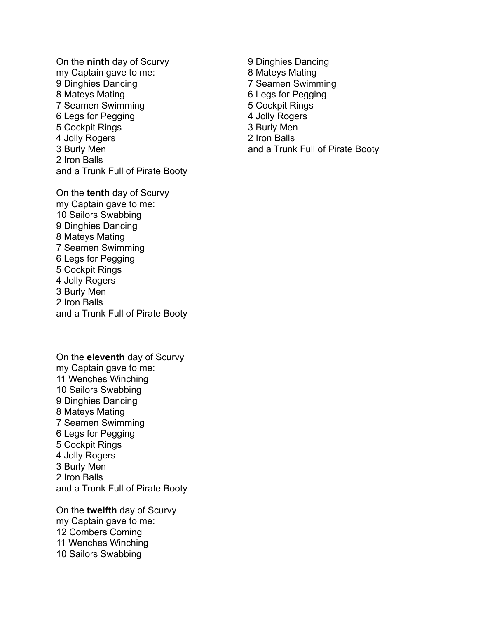On the **ninth** day of Scurvy my Captain gave to me: 9 Dinghies Dancing 8 Mateys Mating 7 Seamen Swimming 6 Legs for Pegging 5 Cockpit Rings 4 Jolly Rogers 3 Burly Men 2 Iron Balls and a Trunk Full of Pirate Booty

On the **tenth** day of Scurvy my Captain gave to me: 10 Sailors Swabbing 9 Dinghies Dancing 8 Mateys Mating 7 Seamen Swimming 6 Legs for Pegging 5 Cockpit Rings 4 Jolly Rogers 3 Burly Men 2 Iron Balls and a Trunk Full of Pirate Booty

On the **eleventh** day of Scurvy my Captain gave to me: 11 Wenches Winching 10 Sailors Swabbing 9 Dinghies Dancing 8 Mateys Mating 7 Seamen Swimming 6 Legs for Pegging 5 Cockpit Rings 4 Jolly Rogers 3 Burly Men 2 Iron Balls and a Trunk Full of Pirate Booty

On the **twelfth** day of Scurvy my Captain gave to me: 12 Combers Coming 11 Wenches Winching 10 Sailors Swabbing

9 Dinghies Dancing 8 Mateys Mating 7 Seamen Swimming 6 Legs for Pegging 5 Cockpit Rings 4 Jolly Rogers 3 Burly Men 2 Iron Balls and a Trunk Full of Pirate Booty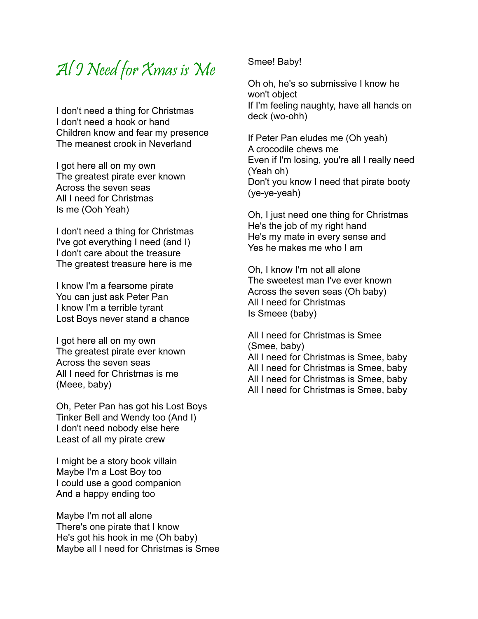## Al I Need for Xmas is Me

I don't need a thing for Christmas I don't need a hook or hand Children know and fear my presence The meanest crook in Neverland

I got here all on my own The greatest pirate ever known Across the seven seas All I need for Christmas Is me (Ooh Yeah)

I don't need a thing for Christmas I've got everything I need (and I) I don't care about the treasure The greatest treasure here is me

I know I'm a fearsome pirate You can just ask Peter Pan I know I'm a terrible tyrant Lost Boys never stand a chance

I got here all on my own The greatest pirate ever known Across the seven seas All I need for Christmas is me (Meee, baby)

Oh, Peter Pan has got his Lost Boys Tinker Bell and Wendy too (And I) I don't need nobody else here Least of all my pirate crew

I might be a story book villain Maybe I'm a Lost Boy too I could use a good companion And a happy ending too

Maybe I'm not all alone There's one pirate that I know He's got his hook in me (Oh baby) Maybe all I need for Christmas is Smee Smee! Baby!

Oh oh, he's so submissive I know he won't object If I'm feeling naughty, have all hands on deck (wo-ohh)

If Peter Pan eludes me (Oh yeah) A crocodile chews me Even if I'm losing, you're all I really need (Yeah oh) Don't you know I need that pirate booty (ye-ye-yeah)

Oh, I just need one thing for Christmas He's the job of my right hand He's my mate in every sense and Yes he makes me who I am

Oh, I know I'm not all alone The sweetest man I've ever known Across the seven seas (Oh baby) All I need for Christmas Is Smeee (baby)

All I need for Christmas is Smee (Smee, baby) All I need for Christmas is Smee, baby All I need for Christmas is Smee, baby All I need for Christmas is Smee, baby All I need for Christmas is Smee, baby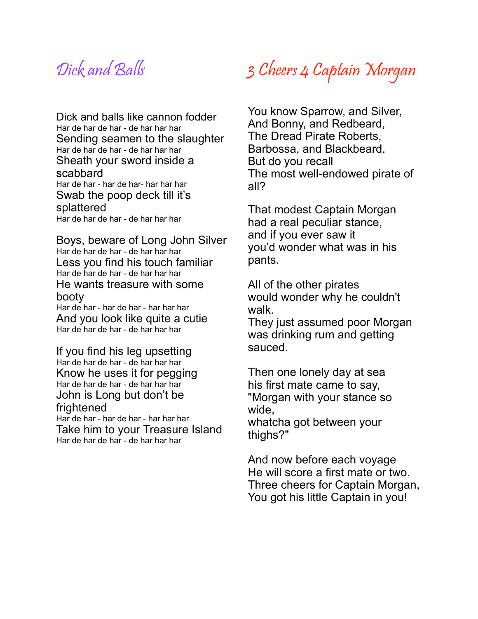## Dick and Balls

Dick and balls like cannon fodder<br>Har de har de har - de har har har Sending seamen to the slaughter Har de har de har - de har har har Sheath your sword inside a scabbard Har de har - har de har- har har har Swab the poop deck till it's splattered Har de har de har - de har har har

Boys, beware of Long John Silver Har de har de har - de har har har Less you find his touch familiar Har de har de har - de har har har He wants treasure with some booty

Har de har - har de har - har har har And you look like quite a cutie Har de har de har - de har har har

If you find his leg upsetting Har de har de har - de har har har Know he uses it for pegging Har de har de har - de har har har John is Long but don't be frightened Har de har - har de har - har har har Take him to your Treasure Island Har de har de har - de har har har

# 3 Cheers 4 Captain Morgan

You know Sparrow, and Silver, And Bonny, and Redbeard, The Dread Pirate Roberts, Barbossa, and Blackbeard. But do you recall The most well-endowed pirate of all?

That modest Captain Morgan had a real peculiar stance, and if you ever saw it you'd wonder what was in his pants.

All of the other pirates would wonder why he couldn't walk.

They just assumed poor Morgan was drinking rum and getting sauced.

Then one lonely day at sea his first mate came to say, "Morgan with your stance so wide, whatcha got between your thighs?"

And now before each voyage He will score a first mate or two. Three cheers for Captain Morgan, You got his little Captain in you!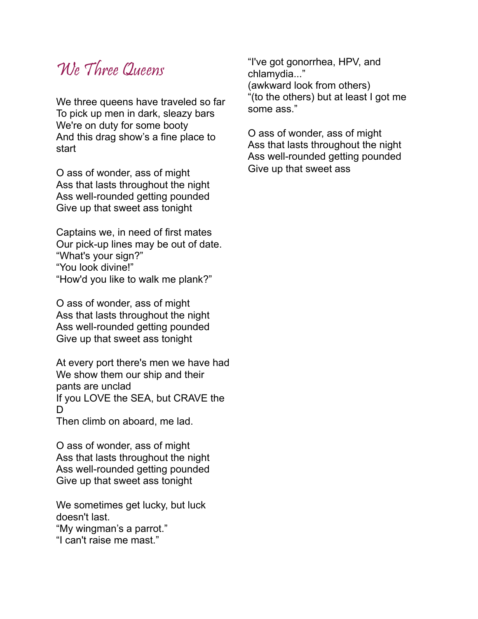# We Three Queens

We three queens have traveled so far To pick up men in dark, sleazy bars We're on duty for some booty And this drag show's a fine place to start

O ass of wonder, ass of might Ass that lasts throughout the night Ass well-rounded getting pounded Give up that sweet ass tonight

Captains we, in need of first mates Our pick-up lines may be out of date. "What's your sign?" "You look divine!" "How'd you like to walk me plank?"

O ass of wonder, ass of might Ass that lasts throughout the night Ass well-rounded getting pounded Give up that sweet ass tonight

At every port there's men we have had We show them our ship and their pants are unclad If you LOVE the SEA, but CRAVE the  $\mathsf{D}$ 

Then climb on aboard, me lad.

O ass of wonder, ass of might Ass that lasts throughout the night Ass well-rounded getting pounded Give up that sweet ass tonight

We sometimes get lucky, but luck doesn't last.

"My wingman's a parrot."

"I can't raise me mast."

"I've got gonorrhea, HPV, and chlamydia..." (awkward look from others) "(to the others) but at least I got me some ass."

O ass of wonder, ass of might Ass that lasts throughout the night Ass well-rounded getting pounded Give up that sweet ass